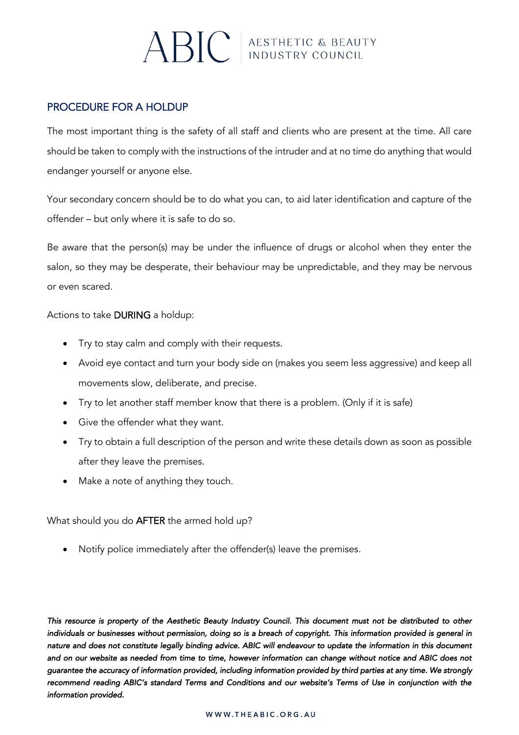## $\mathrm{ABC}$  ABSTHETIC & BEAUTY

## PROCEDURE FOR A HOLDUP

The most important thing is the safety of all staff and clients who are present at the time. All care should be taken to comply with the instructions of the intruder and at no time do anything that would endanger yourself or anyone else.

Your secondary concern should be to do what you can, to aid later identification and capture of the offender – but only where it is safe to do so.

Be aware that the person(s) may be under the influence of drugs or alcohol when they enter the salon, so they may be desperate, their behaviour may be unpredictable, and they may be nervous or even scared.

Actions to take DURING a holdup:

- Try to stay calm and comply with their requests.
- Avoid eye contact and turn your body side on (makes you seem less aggressive) and keep all movements slow, deliberate, and precise.
- Try to let another staff member know that there is a problem. (Only if it is safe)
- Give the offender what they want.
- Try to obtain a full description of the person and write these details down as soon as possible after they leave the premises.
- Make a note of anything they touch.

What should you do AFTER the armed hold up?

• Notify police immediately after the offender(s) leave the premises.

*This resource is property of the Aesthetic Beauty Industry Council. This document must not be distributed to other individuals or businesses without permission, doing so is a breach of copyright. This information provided is general in nature and does not constitute legally binding advice. ABIC will endeavour to update the information in this document and on our website as needed from time to time, however information can change without notice and ABIC does not guarantee the accuracy of information provided, including information provided by third parties at any time. We strongly recommend reading ABIC's standard Terms and Conditions and our website's Terms of Use in conjunction with the information provided.*